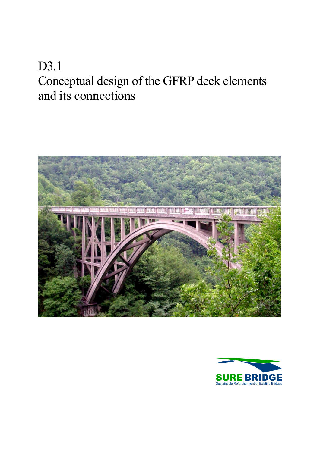# D3.1 Conceptual design of the GFRP deck elements and its connections



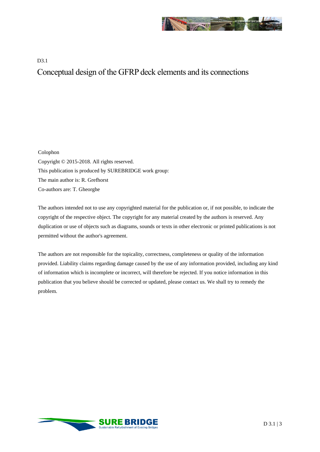

#### D3.1 Conceptual design of the GFRP deck elements and its connections

Colophon Copyright © 2015-2018. All rights reserved. This publication is produced by SUREBRIDGE work group: The main author is: R. Grefhorst Co-authors are: T. Gheorghe

The authors intended not to use any copyrighted material for the publication or, if not possible, to indicate the copyright of the respective object. The copyright for any material created by the authors is reserved. Any duplication or use of objects such as diagrams, sounds or texts in other electronic or printed publications is not permitted without the author's agreement.

The authors are not responsible for the topicality, correctness, completeness or quality of the information provided. Liability claims regarding damage caused by the use of any information provided, including any kind of information which is incomplete or incorrect, will therefore be rejected. If you notice information in this publication that you believe should be corrected or updated, please contact us. We shall try to remedy the problem.

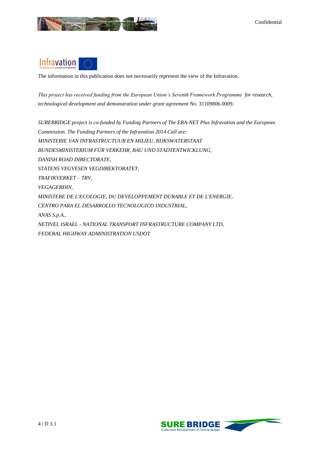

## **Infravation**

The information in this publication does not necessarily represent the view of the Infravation.

*This project has received funding from the European Union's Seventh Framework Programme for research, technological development and demonstration under grant agreement No.* 31109806.0009*.*

*SUREBRIDGE project is co-funded by Funding Partners of The ERA-NET Plus Infravation and the European Commission. The Funding Partners of the Infravation 2014 Call are: MINISTERIE VAN INFRASTRUCTUUR EN MILIEU, RIJKSWATERSTAAT BUNDESMINISTERIUM FÜR VERKEHR, BAU UND STADTENTWICKLUNG, DANISH ROAD DIRECTORATE, STATENS VEGVESEN VEGDIREKTORATET, TRAFIKVERKET – TRV, VEGAGERÐIN, MINISTERE DE L'ECOLOGIE, DU DEVELOPPEMENT DURABLE ET DE L'ENERGIE, CENTRO PARA EL DESARROLLO TECNOLOGICO INDUSTRIAL, ANAS S.p.A., NETIVEI, ISRAEL - NATIONAL TRANSPORT INFRASTRUCTURE COMPANY LTD, FEDERAL HIGHWAY ADMINISTRATION USDOT*

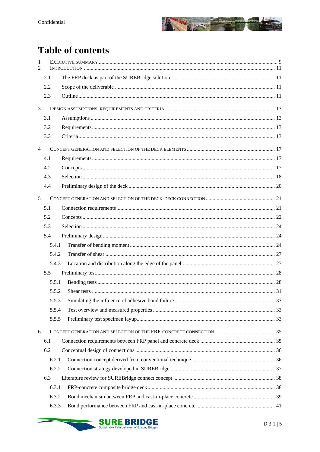

## **Table of contents**

| 1<br>2         |       |  |
|----------------|-------|--|
|                | 2.1   |  |
|                | 2.2   |  |
|                | 2.3   |  |
| 3              |       |  |
|                | 3.1   |  |
|                | 3.2   |  |
|                | 3.3   |  |
| $\overline{4}$ |       |  |
|                | 4.1   |  |
|                | 4.2   |  |
|                | 4.3   |  |
|                | 4.4   |  |
| 5              |       |  |
|                | 5.1   |  |
|                | 5.2   |  |
|                | 5.3   |  |
|                | 5.4   |  |
|                | 5.4.1 |  |
|                | 5.4.2 |  |
|                | 5.4.3 |  |
|                | 5.5   |  |
|                | 5.5.1 |  |
|                | 5.5.2 |  |
|                | 5.5.3 |  |
|                | 5.5.4 |  |
|                | 5.5.5 |  |
| 6              |       |  |
|                | 6.1   |  |
|                | 6.2   |  |
|                | 6.2.1 |  |
|                | 6.2.2 |  |
|                | 6.3   |  |
|                | 6.3.1 |  |
|                | 6.3.2 |  |
|                | 6.3.3 |  |

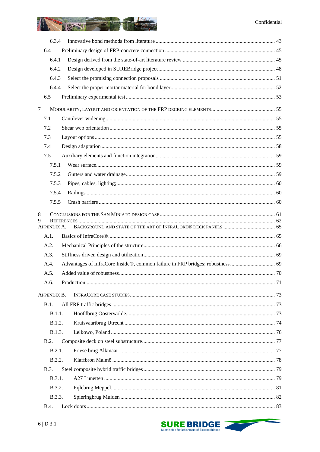#### Confidential



| 6.3.4       |  |
|-------------|--|
| 6.4         |  |
| 6.4.1       |  |
| 6.4.2       |  |
| 6.4.3       |  |
| 6.4.4       |  |
| 6.5         |  |
| 7           |  |
| 7.1         |  |
| 7.2         |  |
| 7.3         |  |
| 7.4         |  |
| 7.5         |  |
| 7.5.1       |  |
| 7.5.2       |  |
| 7.5.3       |  |
| 7.5.4       |  |
| 7.5.5       |  |
| 8           |  |
| 9           |  |
| APPENDIX A. |  |
| A.1.        |  |
| A.2.        |  |
| A.3.        |  |
| A.4.        |  |
| A.5.        |  |
| A.6.        |  |
| APPENDIX B. |  |
| B.1.        |  |
| B.1.1.      |  |
| B.1.2.      |  |
| B.1.3.      |  |
| B.2.        |  |
| B.2.1.      |  |
| B.2.2.      |  |
| B.3.        |  |
| B.3.1.      |  |
| B.3.2.      |  |
| B.3.3.      |  |
| <b>B.4.</b> |  |

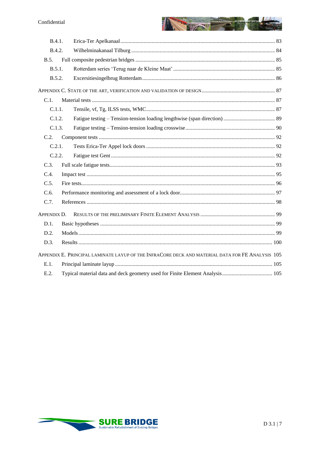

| B.4.1.                                                                                           |  |  |  |  |  |  |  |
|--------------------------------------------------------------------------------------------------|--|--|--|--|--|--|--|
| <b>B.4.2.</b>                                                                                    |  |  |  |  |  |  |  |
| B.5.                                                                                             |  |  |  |  |  |  |  |
| B.5.1.                                                                                           |  |  |  |  |  |  |  |
| B.5.2.                                                                                           |  |  |  |  |  |  |  |
|                                                                                                  |  |  |  |  |  |  |  |
| C.1.                                                                                             |  |  |  |  |  |  |  |
| C.1.1.                                                                                           |  |  |  |  |  |  |  |
| C.1.2.                                                                                           |  |  |  |  |  |  |  |
| C.1.3.                                                                                           |  |  |  |  |  |  |  |
| C.2.                                                                                             |  |  |  |  |  |  |  |
| C.2.1.                                                                                           |  |  |  |  |  |  |  |
| C.2.2.                                                                                           |  |  |  |  |  |  |  |
| C.3.                                                                                             |  |  |  |  |  |  |  |
| C.4.                                                                                             |  |  |  |  |  |  |  |
| C.5.                                                                                             |  |  |  |  |  |  |  |
| C.6.                                                                                             |  |  |  |  |  |  |  |
| C.7.                                                                                             |  |  |  |  |  |  |  |
| APPENDIX D.                                                                                      |  |  |  |  |  |  |  |
| $D.1$ .                                                                                          |  |  |  |  |  |  |  |
| D.2.                                                                                             |  |  |  |  |  |  |  |
| D.3.                                                                                             |  |  |  |  |  |  |  |
| APPENDIX E. PRINCIPAL LAMINATE LAYUP OF THE INFRACORE DECK AND MATERIAL DATA FOR FE ANALYSIS 105 |  |  |  |  |  |  |  |
| E.1.                                                                                             |  |  |  |  |  |  |  |
| E.2.                                                                                             |  |  |  |  |  |  |  |